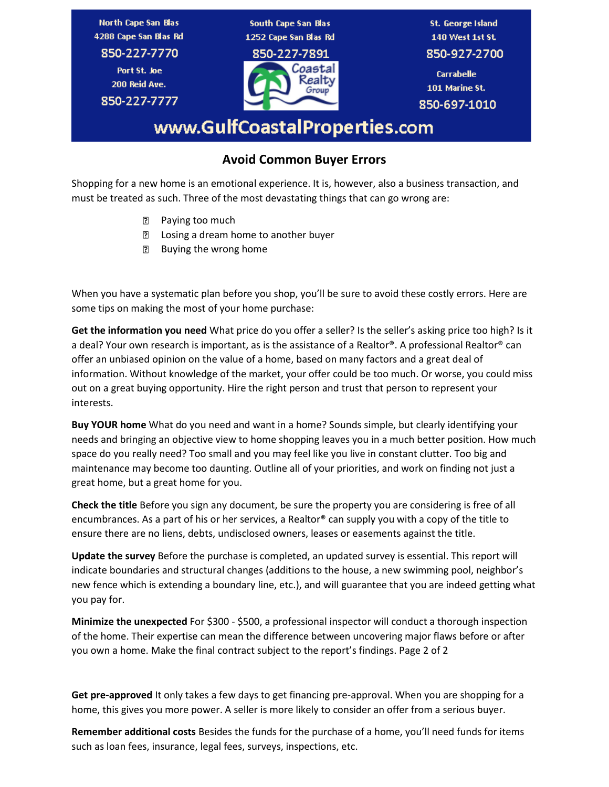North Cape San Blas 4288 Cape San Blas Rd 850-227-7770 Port St. Joe 200 Reid Ave.

850-227-7777



**St. George Island** 140 West 1st St. 850-927-2700

**Carrabelle** 101 Marine St. 850-697-1010

## www.GulfCoastalProperties.com

## **Avoid Common Buyer Errors**

Shopping for a new home is an emotional experience. It is, however, also a business transaction, and must be treated as such. Three of the most devastating things that can go wrong are:

- **Paying too much**
- **Z** Losing a dream home to another buyer
- **Buying the wrong home**

When you have a systematic plan before you shop, you'll be sure to avoid these costly errors. Here are some tips on making the most of your home purchase:

**Get the information you need** What price do you offer a seller? Is the seller's asking price too high? Is it a deal? Your own research is important, as is the assistance of a Realtor®. A professional Realtor® can offer an unbiased opinion on the value of a home, based on many factors and a great deal of information. Without knowledge of the market, your offer could be too much. Or worse, you could miss out on a great buying opportunity. Hire the right person and trust that person to represent your interests.

**Buy YOUR home** What do you need and want in a home? Sounds simple, but clearly identifying your needs and bringing an objective view to home shopping leaves you in a much better position. How much space do you really need? Too small and you may feel like you live in constant clutter. Too big and maintenance may become too daunting. Outline all of your priorities, and work on finding not just a great home, but a great home for you.

**Check the title** Before you sign any document, be sure the property you are considering is free of all encumbrances. As a part of his or her services, a Realtor® can supply you with a copy of the title to ensure there are no liens, debts, undisclosed owners, leases or easements against the title.

**Update the survey** Before the purchase is completed, an updated survey is essential. This report will indicate boundaries and structural changes (additions to the house, a new swimming pool, neighbor's new fence which is extending a boundary line, etc.), and will guarantee that you are indeed getting what you pay for.

**Minimize the unexpected** For \$300 - \$500, a professional inspector will conduct a thorough inspection of the home. Their expertise can mean the difference between uncovering major flaws before or after you own a home. Make the final contract subject to the report's findings. Page 2 of 2

**Get pre-approved** It only takes a few days to get financing pre-approval. When you are shopping for a home, this gives you more power. A seller is more likely to consider an offer from a serious buyer.

**Remember additional costs** Besides the funds for the purchase of a home, you'll need funds for items such as loan fees, insurance, legal fees, surveys, inspections, etc.